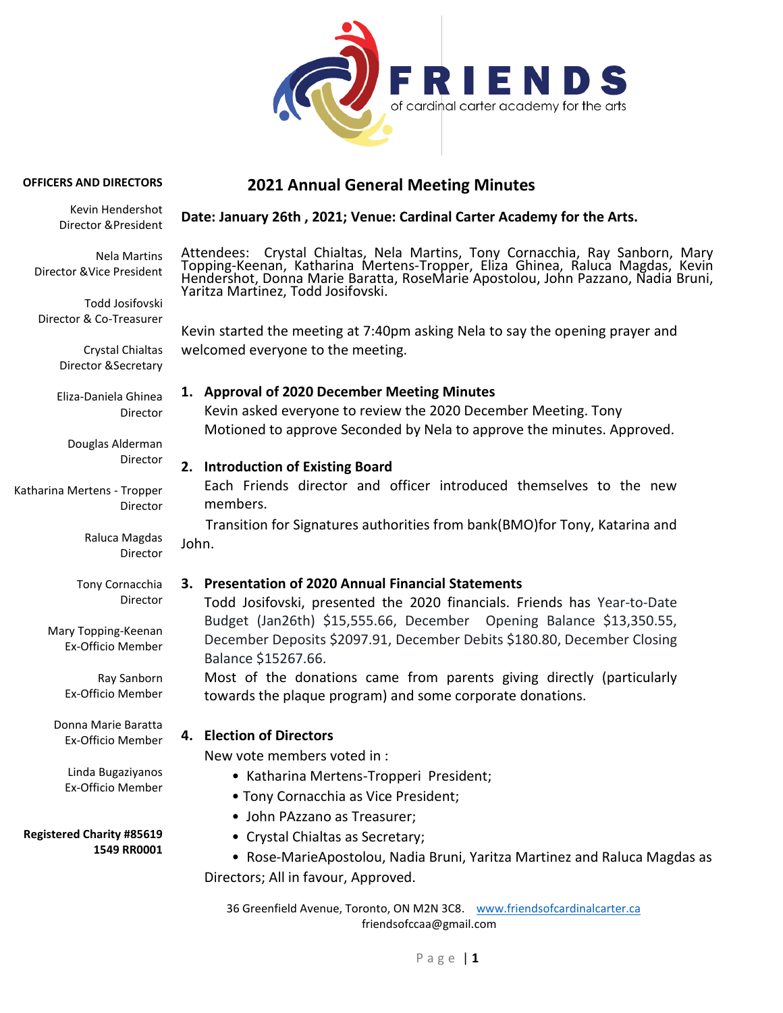

| <b>OFFICERS AND DIRECTORS</b>                   | <b>2021 Annual General Meeting Minutes</b>                                                                                                                                                                                        |
|-------------------------------------------------|-----------------------------------------------------------------------------------------------------------------------------------------------------------------------------------------------------------------------------------|
| Kevin Hendershot<br>Director & President        | Date: January 26th, 2021; Venue: Cardinal Carter Academy for the Arts.                                                                                                                                                            |
| <b>Nela Martins</b>                             | Attendees: Crystal Chialtas, Nela Martins, Tony Cornacchia, Ray Sanborn, Mary Topping-Keenan, Katharina Mertens-Tropper, Eliza Ghinea, Raluca Magdas, Kevin<br>Hendershot, Donna Marie Baratta, RoseMarie Apostolou, John Pazzano |
| Director & Vice President                       | Yaritza Martinez, Todd Josifovski.                                                                                                                                                                                                |
| Todd Josifovski<br>Director & Co-Treasurer      | Kevin started the meeting at 7:40pm asking Nela to say the opening prayer and                                                                                                                                                     |
| Crystal Chialtas<br>Director & Secretary        | welcomed everyone to the meeting.                                                                                                                                                                                                 |
| Eliza-Daniela Ghinea                            | 1. Approval of 2020 December Meeting Minutes                                                                                                                                                                                      |
| Director                                        | Kevin asked everyone to review the 2020 December Meeting. Tony                                                                                                                                                                    |
| Douglas Alderman                                | Motioned to approve Seconded by Nela to approve the minutes. Approved.                                                                                                                                                            |
| Director                                        | 2. Introduction of Existing Board                                                                                                                                                                                                 |
| Katharina Mertens - Tropper                     | Each Friends director and officer introduced themselves to the new                                                                                                                                                                |
| Director                                        | members.                                                                                                                                                                                                                          |
| Raluca Magdas                                   | Transition for Signatures authorities from bank(BMO)for Tony, Katarina and                                                                                                                                                        |
| Director                                        | John.                                                                                                                                                                                                                             |
| Tony Cornacchia                                 | 3. Presentation of 2020 Annual Financial Statements                                                                                                                                                                               |
| Director                                        | Todd Josifovski, presented the 2020 financials. Friends has Year-to-Date                                                                                                                                                          |
| Mary Topping-Keenan<br>Ex-Officio Member        | Budget (Jan26th) \$15,555.66, December Opening Balance \$13,350.55,<br>December Deposits \$2097.91, December Debits \$180.80, December Closing<br>Balance \$15267.66.                                                             |
| Ray Sanborn                                     | Most of the donations came from parents giving directly (particularly                                                                                                                                                             |
| Ex-Officio Member                               | towards the plaque program) and some corporate donations.                                                                                                                                                                         |
| Donna Marie Baratta                             | 4. Election of Directors                                                                                                                                                                                                          |
| Ex-Officio Member                               | New vote members voted in :                                                                                                                                                                                                       |
| Linda Bugaziyanos                               | • Katharina Mertens-Tropperi President;                                                                                                                                                                                           |
| Ex-Officio Member                               | • Tony Cornacchia as Vice President;                                                                                                                                                                                              |
| <b>Registered Charity #85619</b><br>1549 RR0001 | • John PAzzano as Treasurer;<br>• Crystal Chialtas as Secretary;<br>• Rose-MarieApostolou, Nadia Bruni, Yaritza Martinez and Raluca Magdas as<br>Directors; All in favour, Approved.                                              |
|                                                 | 36 Greenfield Avenue, Toronto, ON M2N 3C8. www.friendsofcardinalcarter.ca                                                                                                                                                         |

friendsofccaa@gmail.com